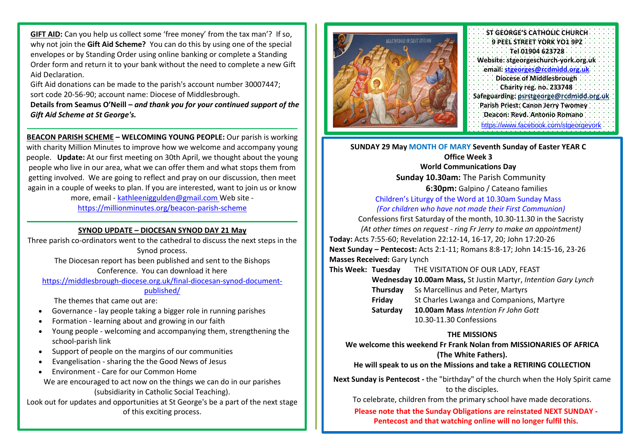**GIFT AID:** Can you help us collect some 'free money' from the tax man'? If so, why not join the **Gift Aid Scheme?** You can do this by using one of the special envelopes or by Standing Order using online banking or complete a Standing Order form and return it to your bank without the need to complete a new Gift Aid Declaration.

Gift Aid donations can be made to the parish's account number 30007447; sort code 20-56-90; account name: Diocese of Middlesbrough.

**Details from Seamus O'Neill –** *and thank you for your continued support of the Gift Aid Scheme at St George's.*

**BEACON PARISH SCHEME – WELCOMING YOUNG PEOPLE:** Our parish is working with charity Million Minutes to improve how we welcome and accompany young people. **Update:** At our first meeting on 30th April, we thought about the young people who live in our area, what we can offer them and what stops them from getting involved. We are going to reflect and pray on our discussion, then meet again in a couple of weeks to plan. If you are interested, want to join us or know

> more, email - [kathleeniggulden@gmail.com](mailto:kathleeniggulden@gmail.com) Web site <https://millionminutes.org/beacon-parish-scheme>

## **SYNOD UPDATE – DIOCESAN SYNOD DAY 21 May**

Three parish co-ordinators went to the cathedral to discuss the next steps in the Synod process. The Diocesan report has been published and sent to the Bishops Conference. You can download it here [https://middlesbrough-diocese.org.uk/final-diocesan-synod-document](https://middlesbrough-diocese.org.uk/final-diocesan-synod-document-published/)[published/](https://middlesbrough-diocese.org.uk/final-diocesan-synod-document-published/) The themes that came out are: • Governance - lay people taking a bigger role in running parishes • Formation - learning about and growing in our faith

- Young people welcoming and accompanying them, strengthening the school-parish link
- Support of people on the margins of our communities
- Evangelisation sharing the the Good News of Jesus
- Environment Care for our Common Home

We are encouraged to act now on the things we can do in our parishes (subsidiarity in Catholic Social Teaching).

Look out for updates and opportunities at St George's be a part of the next stage of this exciting process.



**ST GEORGE'S CATHOLIC CHURCH 9 PEEL STREET YORK YO1 9PZ Tel 01904 623728 Website: stgeorgeschurch-york.org.uk email: [stgeorges@rcdmidd.org.uk](mailto:stgeorges@rcdmidd.org.uk) Diocese of Middlesbrough Charity reg. no. 233748 Safeguarding: [psrstgeorge@rcdmidd.org.uk](mailto:psrstgeorge@rcdmidd.org.uk) Parish Priest: Canon Jerry Twomey Deacon: Revd. Antonio Romano** https:[//www.facebook.com/stgeorgeyork](http://www.facebook.com/stgeorgeyork)

**SUNDAY 29 May MONTH OF MARY Seventh Sunday of Easter YEAR C Office Week 3 World Communications Day Sunday 10.30am:** The Parish Community **6:30pm:** Galpino / Cateano families Children's Liturgy of the Word at 10.30am Sunday Mass *(For children who have not made their First Communion)* Confessions first Saturday of the month, 10.30-11.30 in the Sacristy *(At other times on request - ring Fr Jerry to make an appointment)* **Today:** Acts 7:55-60; Revelation 22:12-14, 16-17, 20; John 17:20-26

**Next Sunday – Pentecost:** Acts 2:1-11; Romans 8:8-17; John 14:15-16, 23-26 **Masses Received:** Gary Lynch

**This Week: Tuesday** THE VISITATION OF OUR LADY, FEAST

**Wednesday 10.00am Mass,** St Justin Martyr, *Intention Gary Lynch*

**Thursday** Ss Marcellinus and Peter, Martyrs

- **Friday** St Charles Lwanga and Companions, Martyre
- **Saturday 10.00am Mass** *Intention Fr John Gott* 10.30-11.30 Confessions

#### **THE MISSIONS**

**We welcome this weekend Fr Frank Nolan from MISSIONARIES OF AFRICA (The White Fathers).**

# **He will speak to us on the Missions and take a RETIRING COLLECTION**

**Next Sunday is Pentecost -** the "birthday" of the church when the Holy Spirit came to the disciples.

To celebrate, children from the primary school have made decorations.

**Please note that the Sunday Obligations are reinstated NEXT SUNDAY - Pentecost and that watching online will no longer fulfil this.**